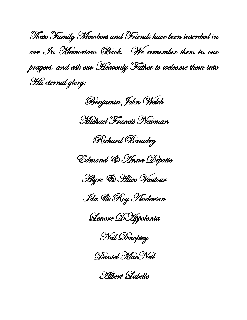These Family Members and Friends have been inscribed in our In Memoriam Book. We remember them in our prayers, and ask our Heavenly Father to welcome them into His eternal glory:

Benjamin John Welch

Michael Francis Newman







Ida & Roy Anderson

Lenore DAppolonia

Neil Dempsey



Albert Labelle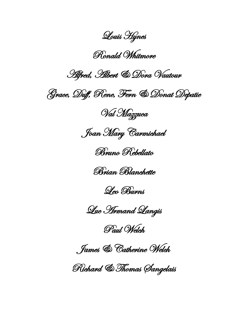Louis Hynes

Ronald Whitmore

Alfred, Albert & Dora Vautour

Grace, Duff, Rene, Fern & Donat Depatie

Val Mazzuca

Joan Mary Carmichael

Bruno Rebellato





Luc Armand Langis

Paul Welch

James & Catherine Welch

Richard & Thomas Sangelais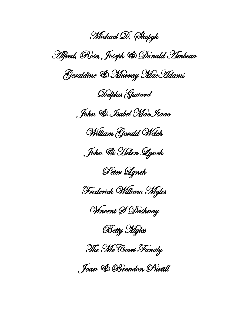Michael D, Skopyk Alfred, Rose, Joseph & Donald Ambeau Geraldine & Murray MacAdams Delphis Guitard John & Isabel MacIsaac William Gerald Welch John & Helen Lynch Peter Lynch Frederick William Myles Vincent S Dashnay **Betty Myles** The McCourt Family Joan & Brendon Purtill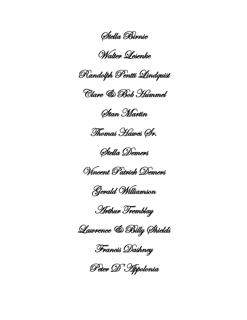Stella Birnie

## Walter Lesenke



Clare & Bob Hummel

Stan Martin

Thomas Hawes Sr.

Stella Demers



Gerald Williamson

Arthur Tremblay

Lawrence & Billy Shields

Francis Dashney

Peter D'Appolonia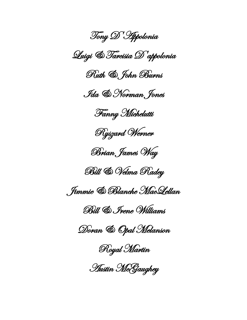Tony D'Appolonia Luigi & Tarcisia D'appolonia Ruth & John Burns Ida & Norman Jones Fanny Michelutti Ryszard Werner Brian James Way Bill & Velma Radey Jimmie & Blanche MacLellan Bill & Irene Williams Doran & Opal Melanson Royal Martin Austin McGaughey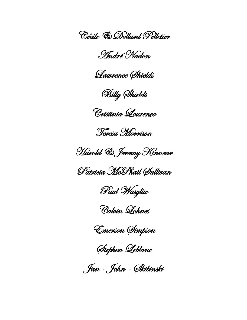Cécile & Dollard Pelletier

André Nadon

Lawrence Shields

Billy Shields

Cristinia Lourenço

Teresa Morrison

Harold & Jeremy Kinnear

Patricia McPhail Sullivan

Paul Wasyliw

Calvin Lohnes

Emerson Simpson

Stephen Leblanc

Jan - John - Skibinski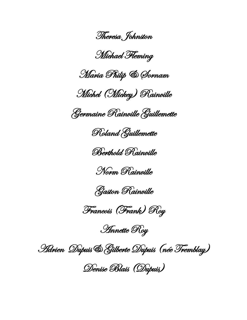Theresa Johnston

Michael Fleming

Maria Philip & Sornam

Michel (Mickey) Rainville

Germaine Rainville Guillemette

Roland Guillemette

Berthold Rainville

Norm Rainville



Francois (Frank) Roy

Annette Roy

Adrien Dupuis& Gilberte Dupuis (née Tremblay)

Denise Blais (Dupuis)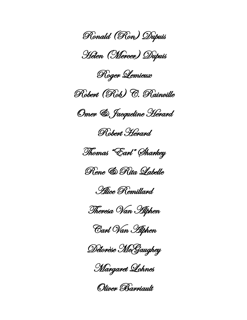Ronald (Ron) Dupuis Helen (Mercer) Dupuis Roger Lemieux Robert (Rob) C. Rainville Omer & Jacqueline Herard Robert Herard Thomas "Earl" Sharkey Rene & Rita Labelle Alice Remillard Theresa Van Alphen Carl Van Alphen Délorèse McGaughey Margaret Lohnes

Oliver Barriault